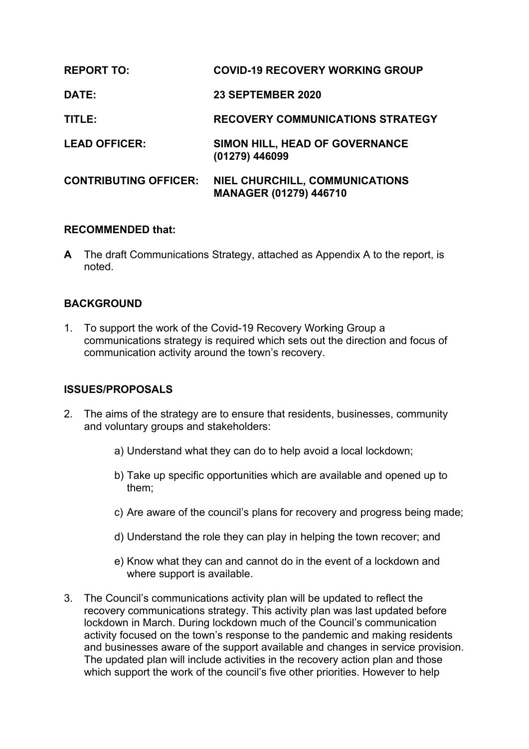| <b>REPORT TO:</b>            | <b>COVID-19 RECOVERY WORKING GROUP</b>                                 |
|------------------------------|------------------------------------------------------------------------|
| DATE:                        | <b>23 SEPTEMBER 2020</b>                                               |
| TITLE:                       | <b>RECOVERY COMMUNICATIONS STRATEGY</b>                                |
| <b>LEAD OFFICER:</b>         | SIMON HILL, HEAD OF GOVERNANCE<br>(01279) 446099                       |
| <b>CONTRIBUTING OFFICER:</b> | <b>NIEL CHURCHILL, COMMUNICATIONS</b><br><b>MANAGER (01279) 446710</b> |

# **RECOMMENDED that:**

**A** The draft Communications Strategy, attached as Appendix A to the report, is noted.

# **BACKGROUND**

1. To support the work of the Covid-19 Recovery Working Group a communications strategy is required which sets out the direction and focus of communication activity around the town's recovery.

# **ISSUES/PROPOSALS**

- 2. The aims of the strategy are to ensure that residents, businesses, community and voluntary groups and stakeholders:
	- a) Understand what they can do to help avoid a local lockdown;
	- b) Take up specific opportunities which are available and opened up to them;
	- c) Are aware of the council's plans for recovery and progress being made;
	- d) Understand the role they can play in helping the town recover; and
	- e) Know what they can and cannot do in the event of a lockdown and where support is available.
- 3. The Council's communications activity plan will be updated to reflect the recovery communications strategy. This activity plan was last updated before lockdown in March. During lockdown much of the Council's communication activity focused on the town's response to the pandemic and making residents and businesses aware of the support available and changes in service provision. The updated plan will include activities in the recovery action plan and those which support the work of the council's five other priorities. However to help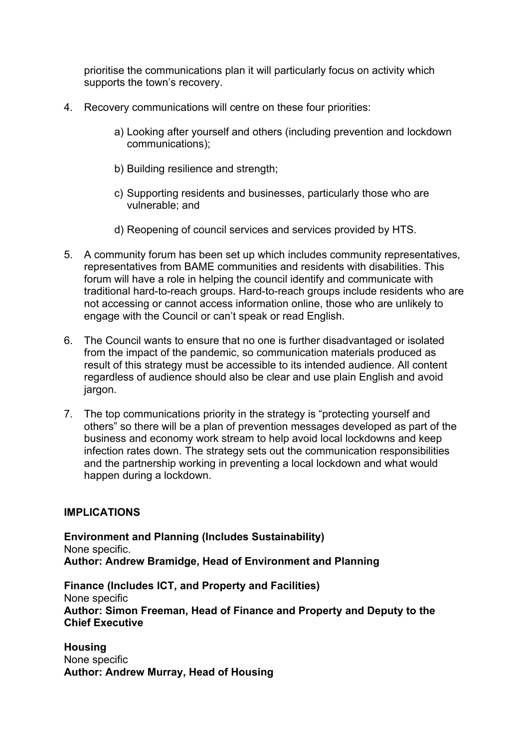prioritise the communications plan it will particularly focus on activity which supports the town's recovery.

- 4. Recovery communications will centre on these four priorities:
	- a) Looking after yourself and others (including prevention and lockdown communications);
	- b) Building resilience and strength;
	- c) Supporting residents and businesses, particularly those who are vulnerable; and
	- d) Reopening of council services and services provided by HTS.
- 5. A community forum has been set up which includes community representatives, representatives from BAME communities and residents with disabilities. This forum will have a role in helping the council identify and communicate with traditional hard-to-reach groups. Hard-to-reach groups include residents who are not accessing or cannot access information online, those who are unlikely to engage with the Council or can't speak or read English.
- 6. The Council wants to ensure that no one is further disadvantaged or isolated from the impact of the pandemic, so communication materials produced as result of this strategy must be accessible to its intended audience. All content regardless of audience should also be clear and use plain English and avoid jargon.
- 7. The top communications priority in the strategy is "protecting yourself and others" so there will be a plan of prevention messages developed as part of the business and economy work stream to help avoid local lockdowns and keep infection rates down. The strategy sets out the communication responsibilities and the partnership working in preventing a local lockdown and what would happen during a lockdown.

# **IMPLICATIONS**

**Environment and Planning (Includes Sustainability)** None specific. **Author: Andrew Bramidge, Head of Environment and Planning**

**Finance (Includes ICT, and Property and Facilities)** None specific **Author: Simon Freeman, Head of Finance and Property and Deputy to the Chief Executive**

**Housing** None specific **Author: Andrew Murray, Head of Housing**